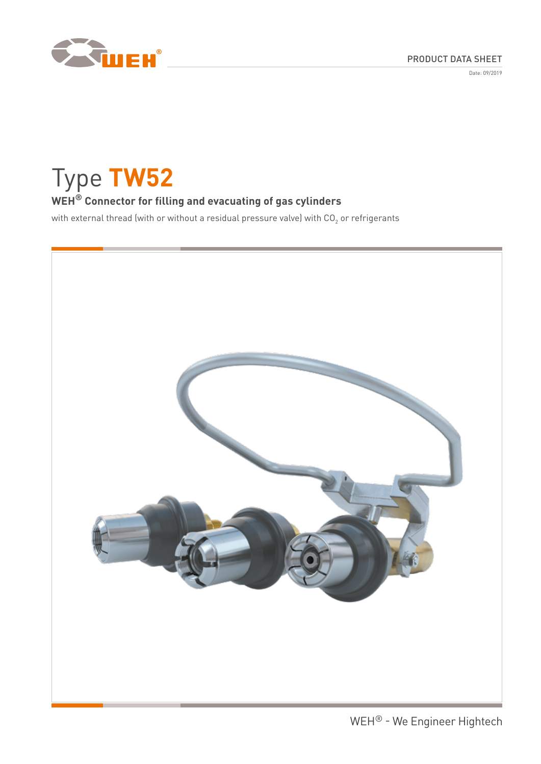

Date: 09/2019

Type **TW52**

# **WEH® Connector for filling and evacuating of gas cylinders**

with external thread (with or without a residual pressure valve) with CO<sub>2</sub> or refrigerants

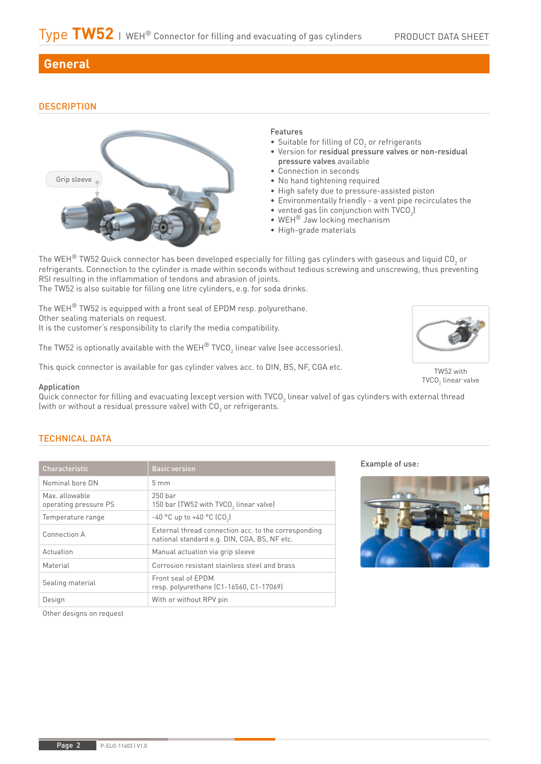# **General**

## **DESCRIPTION**



#### Features

- Suitable for filling of CO<sub>2</sub> or refrigerants
- Version for residual pressure valves or non-residual pressure valves available
- Connection in seconds
- No hand tightening required
- High safety due to pressure-assisted piston
- Environmentally friendly a vent pipe recirculates the
- vented gas (in conjunction with  $\text{TVCO}_2$ )
- WEH® Jaw locking mechanism
- High-grade materials

The WEH $^\circ$  TW52 Quick connector has been developed especially for filling gas cylinders with gaseous and liquid CO<sub>2</sub> or refrigerants. Connection to the cylinder is made within seconds without tedious screwing and unscrewing, thus preventing RSI resulting in the inflammation of tendons and abrasion of joints.

The TW52 is also suitable for filling one litre cylinders, e.g. for soda drinks.

The WEH® TW52 is equipped with a front seal of EPDM resp. polyurethane. Other sealing materials on request. It is the customer's responsibility to clarify the media compatibility.

The TW52 is optionally available with the WEH $^\circ$  TVCO $_2$  linear valve (see accessories).

This quick connector is available for gas cylinder valves acc. to DIN, BS, NF, CGA etc.

#### Application

Quick connector for filling and evacuating (except version with TVCO $_{_2}$  linear valve) of gas cylinders with external thread (with or without a residual pressure valve) with CO $_{\rm 2}$  or refrigerants.

### TECHNICAL DATA

| Characteristic                         | <b>Basic version</b>                                                                                 |
|----------------------------------------|------------------------------------------------------------------------------------------------------|
| Nominal hore DN                        | $5 \text{ mm}$                                                                                       |
| Max allowable<br>operating pressure PS | $250$ har<br>150 bar (TW52 with TVCO, linear valve)                                                  |
| Temperature range                      | -40 °C up to +40 °C (CO <sub>2</sub> )                                                               |
| Connection A                           | External thread connection acc. to the corresponding<br>national standard e.g. DIN, CGA, BS, NF etc. |
| Actuation                              | Manual actuation via grip sleeve                                                                     |
| Material                               | Corrosion resistant stainless steel and brass                                                        |
| Sealing material                       | Front seal of EPDM<br>resp. polyurethane (C1-16560, C1-17069)                                        |
| Design                                 | With or without RPV pin                                                                              |

Example of use:



TW52 with  $\mathsf{TVCO}_2$  linear valve

Other designs on request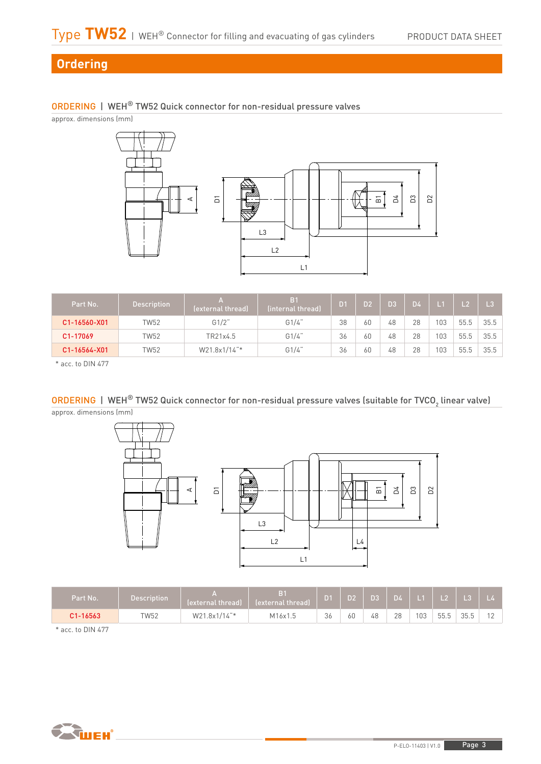# **Ordering**

## ORDERING | WEH® TW52 Quick connector for non-residual pressure valves

approx. dimensions (mm)



| Part No.     | <b>Description</b> | A<br>(external thread) | B <sub>1</sub><br>(internal thread) | D <sub>1</sub> | D <sub>2</sub> | D3 | D <sub>4</sub> |     |      | $\mathsf{L}3$ |
|--------------|--------------------|------------------------|-------------------------------------|----------------|----------------|----|----------------|-----|------|---------------|
| C1-16560-X01 | TW52               | G1/2"                  | G1/4"                               | 38             | 60             | 48 | 28             | 103 | 55.5 | 35.5          |
| C1-17069     | TW52               | TR21x4.5               | G1/4"                               | 36             | 60             | 48 | 28             | 103 | 55.5 | 35.5          |
| C1-16564-X01 | TW52               | W21.8x1/14"*           | G1/4"                               | 36             | 60             | 48 | 28             | 103 | 55.5 | 35.5          |

\* acc. to DIN 477

<code>ORDERING | WEH®</code> TW52 Quick connector for non-residual pressure valves (suitable for TVCO $_2$  linear valve) approx. dimensions (mm)



| Part No.     | <b>Description</b> | (external thread) | B <sub>1</sub><br>(external thread) | ш  | D2' | D <sub>3</sub> | D4 |    |      | L <sub>3</sub> |  |
|--------------|--------------------|-------------------|-------------------------------------|----|-----|----------------|----|----|------|----------------|--|
| $C1 - 16563$ | TW52               | W21.8x1/14"*      | M16x1.5                             | 36 | 60  | 48             | 28 | 03 | 55.5 | 3ビ<br>JJ.J     |  |
| _______      |                    |                   |                                     |    |     |                |    |    |      |                |  |

\* acc. to DIN 477

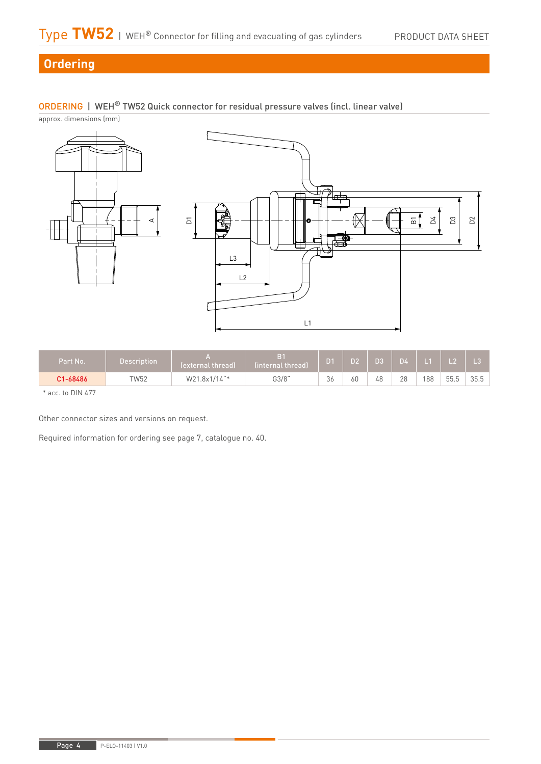D4

D3

D<sup>2</sup>

# **Ordering**

## ORDERING | WEH® TW52 Quick connector for residual pressure valves (incl. linear valve)

approx. dimensions (mm)



| Part No. | Description | (external thread) | B <sub>1</sub><br>linternal thread) | D <sub>1</sub> | D <sub>2</sub> | D <sub>3</sub> | <b>D4</b> | $1 - 4 -$ |      |      |
|----------|-------------|-------------------|-------------------------------------|----------------|----------------|----------------|-----------|-----------|------|------|
| C1-68486 | TW52        | W21.8x1/14"*      | G3/8"                               | 36             | 60             | 48             | 28        | 188       | 55.5 | 35.5 |

\* acc. to DIN 477

Other connector sizes and versions on request.

Required information for ordering see page 7, catalogue no. 40.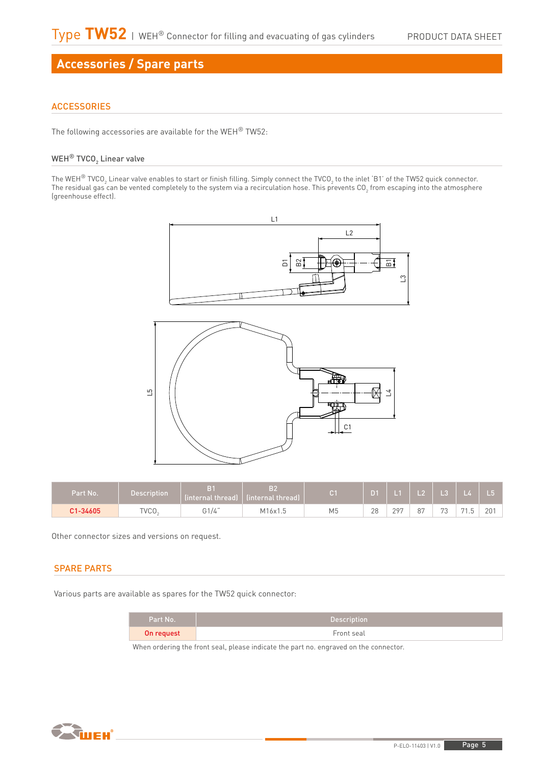# **Accessories / Spare parts**

### **ACCESSORIES**

The following accessories are available for the WEH® TW52:

### WEH $^\circledR$  TVCO $_2$  Linear valve

The WEH $^\circ$  TVCO $_2$  Linear valve enables to start or finish filling. Simply connect the TVCO $_2$  to the inlet 'B1' of the TW52 quick connector. The residual gas can be vented completely to the system via a recirculation hose. This prevents CO<sub>2</sub> from escaping into the atmosphere (greenhouse effect).



| Part No. | Description | (internal thread) | B2<br>(internal thread) |    |    |     | L2   L3   L4 |                   |    |     |
|----------|-------------|-------------------|-------------------------|----|----|-----|--------------|-------------------|----|-----|
| C1-34605 | TVCO.       | G1/4"             | M16x1.5                 | M5 | 28 | 207 | 87           | $\mathbf{a}$<br>ັ | 71 | 201 |

Other connector sizes and versions on request.

#### SPARE PARTS

Various parts are available as spares for the TW52 quick connector:

| Part No.   | <b>Description</b> |
|------------|--------------------|
| On request | Front seal         |

When ordering the front seal, please indicate the part no. engraved on the connector.